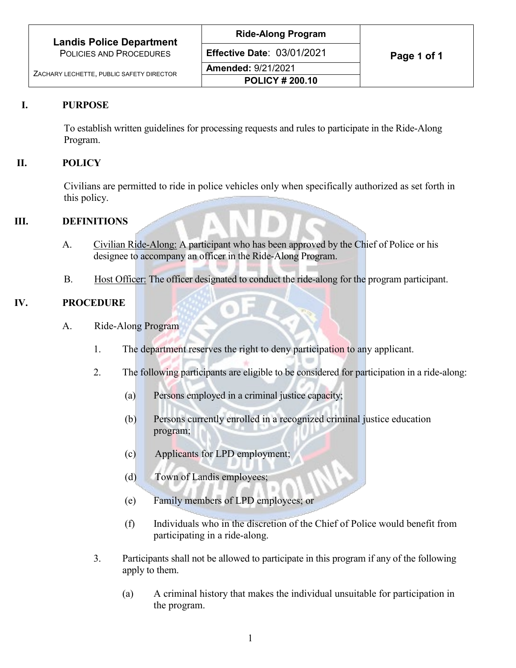| <b>Landis Police Department</b>          | <b>Ride-Along Program</b>         |             |
|------------------------------------------|-----------------------------------|-------------|
| POLICIES AND PROCEDURES                  | <b>Effective Date: 03/01/2021</b> | Page 1 of 1 |
| ZACHARY LECHETTE, PUBLIC SAFETY DIRECTOR | <b>Amended: 9/21/2021</b>         |             |
|                                          | <b>POLICY # 200.10</b>            |             |

## **I. PURPOSE**

To establish written guidelines for processing requests and rules to participate in the Ride-Along Program.

## **II. POLICY**

Civilians are permitted to ride in police vehicles only when specifically authorized as set forth in this policy.

### **III. DEFINITIONS**

- A. Civilian Ride-Along: A participant who has been approved by the Chief of Police or his designee to accompany an officer in the Ride-Along Program.
- B. Host Officer: The officer designated to conduct the ride-along for the program participant.

### **IV. PROCEDURE**

- A. Ride-Along Program
	- 1. The department reserves the right to deny participation to any applicant.
	- 2. The following participants are eligible to be considered for participation in a ride-along:
		- (a) Persons employed in a criminal justice capacity;
		- (b) Persons currently enrolled in a recognized criminal justice education program;
		- (c) Applicants for LPD employment;
		- (d) Town of Landis employees;
		- (e) Family members of LPD employees; or
		- (f) Individuals who in the discretion of the Chief of Police would benefit from participating in a ride-along.
	- 3. Participants shall not be allowed to participate in this program if any of the following apply to them.
		- (a) A criminal history that makes the individual unsuitable for participation in the program.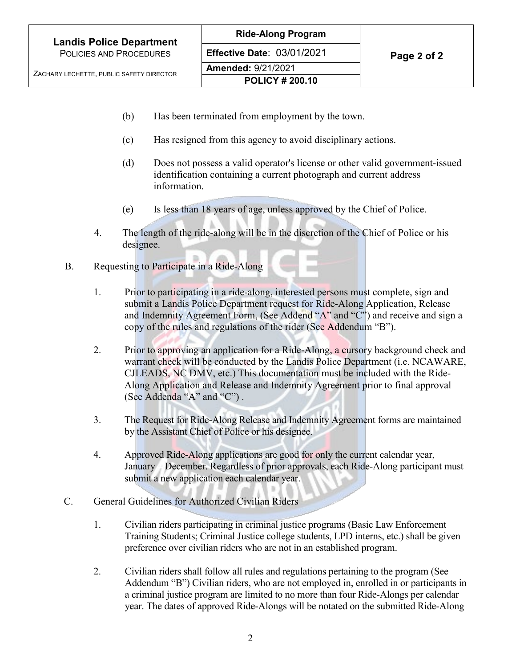**Effective Date: 03/01/2021 Page 2 of 2** 

**Amended:** 9/21/2021 **POLICY # 200.10**

- (b) Has been terminated from employment by the town.
- (c) Has resigned from this agency to avoid disciplinary actions.
- (d) Does not possess a valid operator's license or other valid government-issued identification containing a current photograph and current address information.
- (e) Is less than 18 years of age, unless approved by the Chief of Police.
- 4. The length of the ride-along will be in the discretion of the Chief of Police or his designee.
- B. Requesting to Participate in a Ride-Along
	- 1. Prior to participating in a ride-along, interested persons must complete, sign and submit a Landis Police Department request for Ride-Along Application, Release and Indemnity Agreement Form, (See Addend "A" and "C") and receive and sign a copy of the rules and regulations of the rider (See Addendum "B").
	- 2. Prior to approving an application for a Ride-Along, a cursory background check and warrant check will be conducted by the Landis Police Department (i.e. NCAWARE, CJLEADS, NC DMV, etc.) This documentation must be included with the Ride-Along Application and Release and Indemnity Agreement prior to final approval (See Addenda "A" and "C") .
	- 3. The Request for Ride-Along Release and Indemnity Agreement forms are maintained by the Assistant Chief of Police or his designee.
	- 4. Approved Ride-Along applications are good for only the current calendar year, January – December. Regardless of prior approvals, each Ride-Along participant must submit a new application each calendar year.
- C. General Guidelines for Authorized Civilian Riders
	- 1. Civilian riders participating in criminal justice programs (Basic Law Enforcement Training Students; Criminal Justice college students, LPD interns, etc.) shall be given preference over civilian riders who are not in an established program.
	- 2. Civilian riders shall follow all rules and regulations pertaining to the program (See Addendum "B") Civilian riders, who are not employed in, enrolled in or participants in a criminal justice program are limited to no more than four Ride-Alongs per calendar year. The dates of approved Ride-Alongs will be notated on the submitted Ride-Along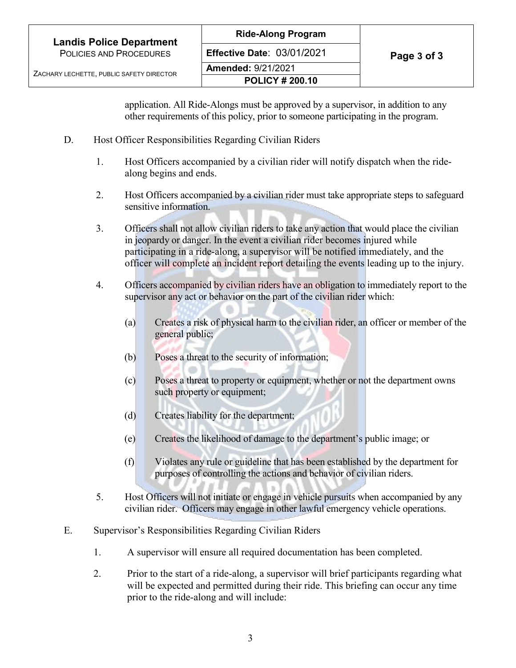application. All Ride-Alongs must be approved by a supervisor, in addition to any other requirements of this policy, prior to someone participating in the program.

- D. Host Officer Responsibilities Regarding Civilian Riders
	- 1. Host Officers accompanied by a civilian rider will notify dispatch when the ridealong begins and ends.
	- 2. Host Officers accompanied by a civilian rider must take appropriate steps to safeguard sensitive information.
	- 3. Officers shall not allow civilian riders to take any action that would place the civilian in jeopardy or danger. In the event a civilian rider becomes injured while participating in a ride-along, a supervisor will be notified immediately, and the officer will complete an incident report detailing the events leading up to the injury.
	- 4. Officers accompanied by civilian riders have an obligation to immediately report to the supervisor any act or behavior on the part of the civilian rider which:
		- (a) Creates a risk of physical harm to the civilian rider, an officer or member of the general public;
		- (b) Poses a threat to the security of information;
		- (c) Poses a threat to property or equipment, whether or not the department owns such property or equipment;
		- (d) Creates liability for the department;
		- (e) Creates the likelihood of damage to the department's public image; or
		- (f) Violates any rule or guideline that has been established by the department for purposes of controlling the actions and behavior of civilian riders.
	- 5. Host Officers will not initiate or engage in vehicle pursuits when accompanied by any civilian rider. Officers may engage in other lawful emergency vehicle operations.
- E. Supervisor's Responsibilities Regarding Civilian Riders
	- 1. A supervisor will ensure all required documentation has been completed.
	- 2. Prior to the start of a ride-along, a supervisor will brief participants regarding what will be expected and permitted during their ride. This briefing can occur any time prior to the ride-along and will include: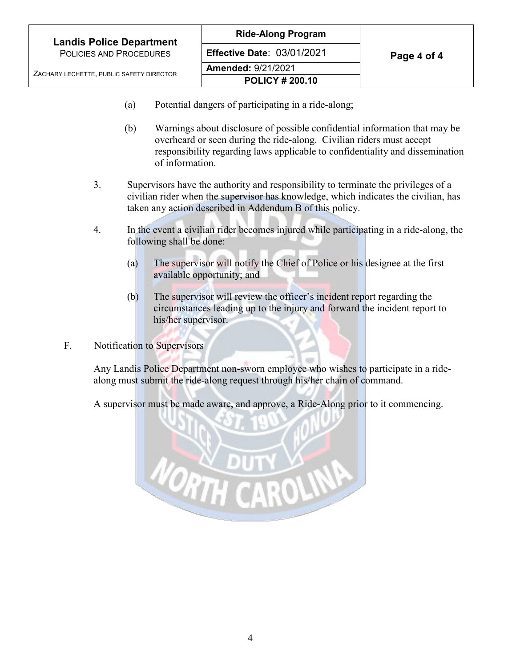| <b>Landis Police Department</b>          | <b>Ride-Along Program</b>         |             |
|------------------------------------------|-----------------------------------|-------------|
| POLICIES AND PROCEDURES                  | <b>Effective Date: 03/01/2021</b> | Page 4 of 4 |
| ZACHARY LECHETTE, PUBLIC SAFETY DIRECTOR | <b>Amended: 9/21/2021</b>         |             |
|                                          | <b>POLICY # 200.10</b>            |             |

- (a) Potential dangers of participating in a ride-along;
- (b) Warnings about disclosure of possible confidential information that may be overheard or seen during the ride-along. Civilian riders must accept responsibility regarding laws applicable to confidentiality and dissemination of information.
- 3. Supervisors have the authority and responsibility to terminate the privileges of a civilian rider when the supervisor has knowledge, which indicates the civilian, has taken any action described in Addendum B of this policy.
- 4. In the event a civilian rider becomes injured while participating in a ride-along, the following shall be done:
	- (a) The supervisor will notify the Chief of Police or his designee at the first available opportunity; and
	- (b) The supervisor will review the officer's incident report regarding the circumstances leading up to the injury and forward the incident report to his/her supervisor.
- F. Notification to Supervisors

Any Landis Police Department non-sworn employee who wishes to participate in a ridealong must submit the ride-along request through his/her chain of command.

A supervisor must be made aware, and approve, a Ride-Along prior to it commencing.

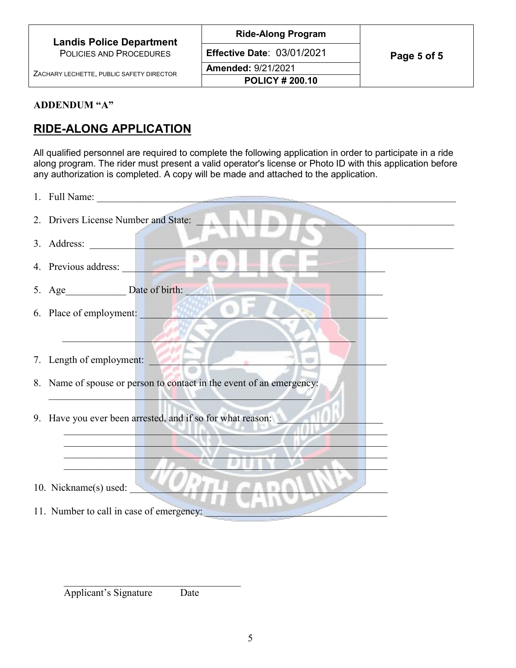| <b>Landis Police Department</b>          | <b>Ride-Along Program</b>         |             |
|------------------------------------------|-----------------------------------|-------------|
| POLICIES AND PROCEDURES                  | <b>Effective Date: 03/01/2021</b> | Page 5 of 5 |
| ZACHARY LECHETTE, PUBLIC SAFETY DIRECTOR | <b>Amended: 9/21/2021</b>         |             |
|                                          | <b>POLICY # 200.10</b>            |             |
|                                          |                                   |             |

## **ADDENDUM "A"**

# **RIDE-ALONG APPLICATION**

All qualified personnel are required to complete the following application in order to participate in a ride along program. The rider must present a valid operator's license or Photo ID with this application before any authorization is completed. A copy will be made and attached to the application.

| 2. Drivers License Number and State:                                 |
|----------------------------------------------------------------------|
| 3. Address:                                                          |
| 4. Previous address:                                                 |
| 5. Age Date of birth:                                                |
| ۰<br>6. Place of employment:                                         |
|                                                                      |
| 7. Length of employment:                                             |
| 8. Name of spouse or person to contact in the event of an emergency: |
| 9. Have you ever been arrested, and if so for what reason:           |
|                                                                      |
| 10. Nickname(s) used:                                                |
| 11. Number to call in case of emergency:                             |

Applicant's Signature Date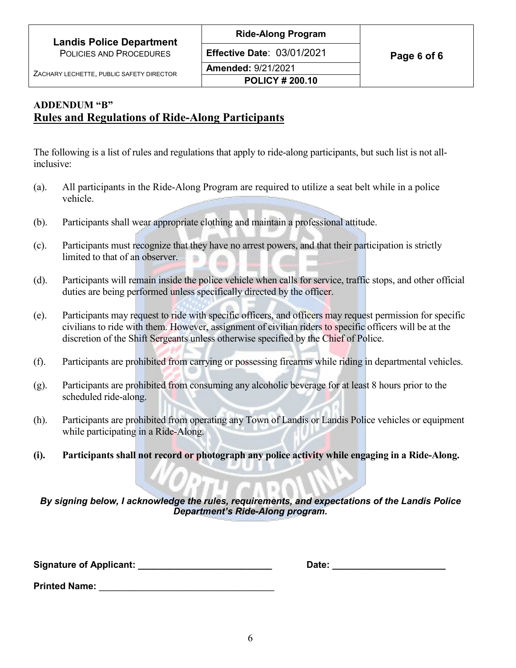**Effective Date: 03/01/2021 Page 6 of 6** 

## **ADDENDUM "B" Rules and Regulations of Ride-Along Participants**

The following is a list of rules and regulations that apply to ride-along participants, but such list is not allinclusive:

- (a). All participants in the Ride-Along Program are required to utilize a seat belt while in a police vehicle.
- (b). Participants shall wear appropriate clothing and maintain a professional attitude.
- (c). Participants must recognize that they have no arrest powers, and that their participation is strictly limited to that of an observer.
- (d). Participants will remain inside the police vehicle when calls for service, traffic stops, and other official duties are being performed unless specifically directed by the officer.
- (e). Participants may request to ride with specific officers, and officers may request permission for specific civilians to ride with them. However, assignment of civilian riders to specific officers will be at the discretion of the Shift Sergeants unless otherwise specified by the Chief of Police.
- (f). Participants are prohibited from carrying or possessing firearms while riding in departmental vehicles.
- (g). Participants are prohibited from consuming any alcoholic beverage for at least 8 hours prior to the scheduled ride-along.
- (h). Participants are prohibited from operating any Town of Landis or Landis Police vehicles or equipment while participating in a Ride-Along.
- **(i). Participants shall not record or photograph any police activity while engaging in a Ride-Along.**

*By signing below, I acknowledge the rules, requirements, and expectations of the Landis Police Department's Ride-Along program.*

**Signature of Applicant: \_\_\_\_\_\_\_\_\_\_\_\_\_\_\_\_\_\_\_\_\_\_\_\_\_\_ Date: \_\_\_\_\_\_\_\_\_\_\_\_\_\_\_\_\_\_\_\_\_\_**

**Printed Name:**  $\blacksquare$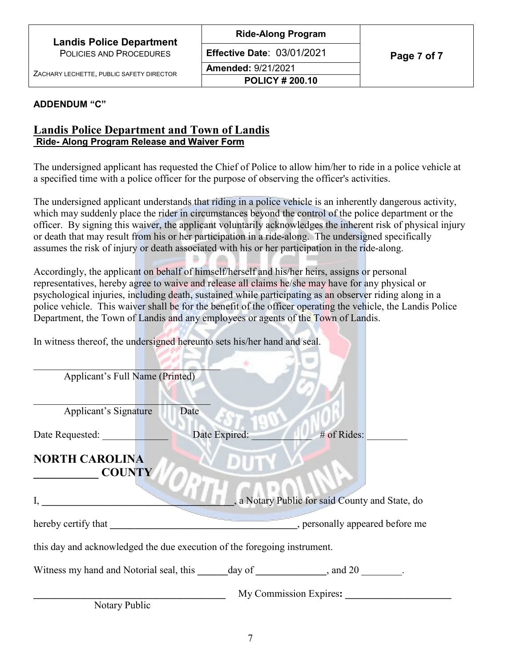**Amended:** 9/21/2021 **POLICY # 200.10**

**E Page 7 of 7 ffective Date**: 03/01/2021

### **ADDENDUM "C"**

## **Landis Police Department and Town of Landis Ride- Along Program Release and Waiver Form**

The undersigned applicant has requested the Chief of Police to allow him/her to ride in a police vehicle at a specified time with a police officer for the purpose of observing the officer's activities.

The undersigned applicant understands that riding in a police vehicle is an inherently dangerous activity, which may suddenly place the rider in circumstances beyond the control of the police department or the officer. By signing this waiver, the applicant voluntarily acknowledges the inherent risk of physical injury or death that may result from his or her participation in a ride-along. The undersigned specifically assumes the risk of injury or death associated with his or her participation in the ride-along.

Accordingly, the applicant on behalf of himself/herself and his/her heirs, assigns or personal representatives, hereby agree to waive and release all claims he/she may have for any physical or psychological injuries, including death, sustained while participating as an observer riding along in a police vehicle. This waiver shall be for the benefit of the officer operating the vehicle, the Landis Police Department, the Town of Landis and any employees or agents of the Town of Landis.

In witness thereof, the undersigned hereunto sets his/her hand and seal.

| Applicant's Full Name (Printed)                                          |               |                                                 |
|--------------------------------------------------------------------------|---------------|-------------------------------------------------|
| Applicant's Signature                                                    | Date          |                                                 |
| Date Requested:                                                          | Date Expired: | # of Rides:                                     |
| <b>NORTH CAROLINA</b><br><b>COUNTY</b>                                   |               |                                                 |
| I,                                                                       |               | , a Notary Public for said County and State, do |
| hereby certify that                                                      |               | , personally appeared before me                 |
| this day and acknowledged the due execution of the foregoing instrument. |               |                                                 |
| Witness my hand and Notorial seal, this day of , and 20 .                |               |                                                 |
|                                                                          |               | My Commission Expires:                          |

Notary Public